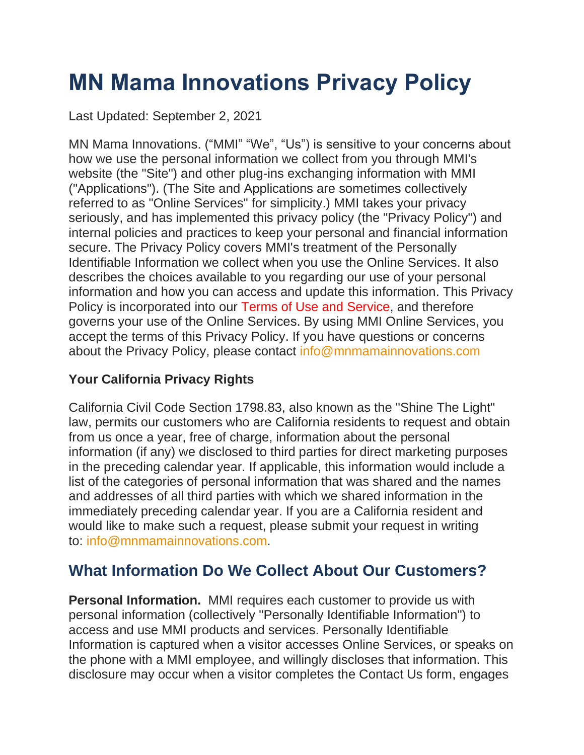# **MN Mama Innovations Privacy Policy**

Last Updated: September 2, 2021

MN Mama Innovations. ("MMI" "We", "Us") is sensitive to your concerns about how we use the personal information we collect from you through MMI's website (the "Site") and other plug-ins exchanging information with MMI ("Applications"). (The Site and Applications are sometimes collectively referred to as "Online Services" for simplicity.) MMI takes your privacy seriously, and has implemented this privacy policy (the "Privacy Policy") and internal policies and practices to keep your personal and financial information secure. The Privacy Policy covers MMI's treatment of the Personally Identifiable Information we collect when you use the Online Services. It also describes the choices available to you regarding our use of your personal information and how you can access and update this information. This Privacy Policy is incorporated into our Terms of Use and Service, and therefore governs your use of the Online Services. By using MMI Online Services, you accept the terms of this Privacy Policy. If you have questions or concerns about the Privacy Policy, please contact [info@mnmamainnovations.com](mailto:support@picanetwork.org)

#### **Your California Privacy Rights**

California Civil Code Section 1798.83, also known as the "Shine The Light" law, permits our customers who are California residents to request and obtain from us once a year, free of charge, information about the personal information (if any) we disclosed to third parties for direct marketing purposes in the preceding calendar year. If applicable, this information would include a list of the categories of personal information that was shared and the names and addresses of all third parties with which we shared information in the immediately preceding calendar year. If you are a California resident and would like to make such a request, please submit your request in writing to: [info@mnmamainnovations.com.](mailto:support@picanetwork.org)

## **What Information Do We Collect About Our Customers?**

**Personal Information.** MMI requires each customer to provide us with personal information (collectively "Personally Identifiable Information") to access and use MMI products and services. Personally Identifiable Information is captured when a visitor accesses Online Services, or speaks on the phone with a MMI employee, and willingly discloses that information. This disclosure may occur when a visitor completes the Contact Us form, engages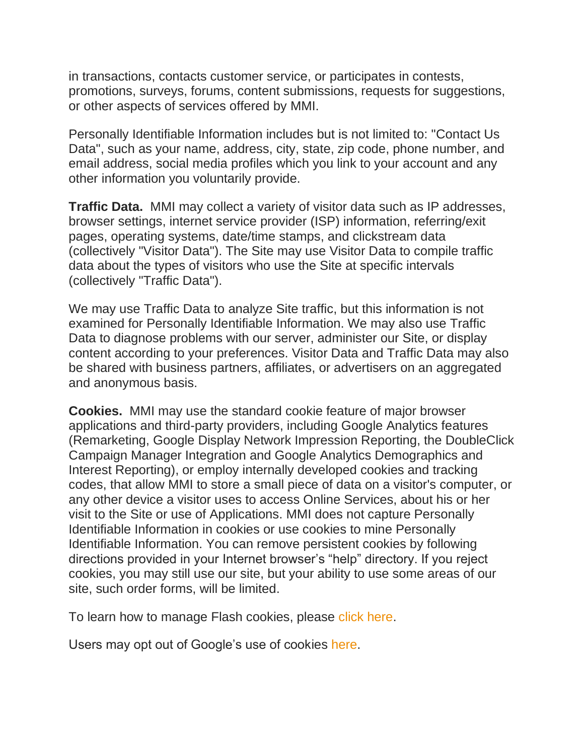in transactions, contacts customer service, or participates in contests, promotions, surveys, forums, content submissions, requests for suggestions, or other aspects of services offered by MMI.

Personally Identifiable Information includes but is not limited to: "Contact Us Data", such as your name, address, city, state, zip code, phone number, and email address, social media profiles which you link to your account and any other information you voluntarily provide.

**Traffic Data.** MMI may collect a variety of visitor data such as IP addresses, browser settings, internet service provider (ISP) information, referring/exit pages, operating systems, date/time stamps, and clickstream data (collectively "Visitor Data"). The Site may use Visitor Data to compile traffic data about the types of visitors who use the Site at specific intervals (collectively "Traffic Data").

We may use Traffic Data to analyze Site traffic, but this information is not examined for Personally Identifiable Information. We may also use Traffic Data to diagnose problems with our server, administer our Site, or display content according to your preferences. Visitor Data and Traffic Data may also be shared with business partners, affiliates, or advertisers on an aggregated and anonymous basis.

**Cookies.** MMI may use the standard cookie feature of major browser applications and third-party providers, including Google Analytics features (Remarketing, Google Display Network Impression Reporting, the DoubleClick Campaign Manager Integration and Google Analytics Demographics and Interest Reporting), or employ internally developed cookies and tracking codes, that allow MMI to store a small piece of data on a visitor's computer, or any other device a visitor uses to access Online Services, about his or her visit to the Site or use of Applications. MMI does not capture Personally Identifiable Information in cookies or use cookies to mine Personally Identifiable Information. You can remove persistent cookies by following directions provided in your Internet browser's "help" directory. If you reject cookies, you may still use our site, but your ability to use some areas of our site, such order forms, will be limited.

To learn how to manage Flash cookies, please [click here.](http://www.macromedia.com/support/documentation/en/flashplayer/help/settings_manager.html)

Users may opt out of Google's use of cookies [here.](https://www.google.com/settings/u/0/ads/authenticated)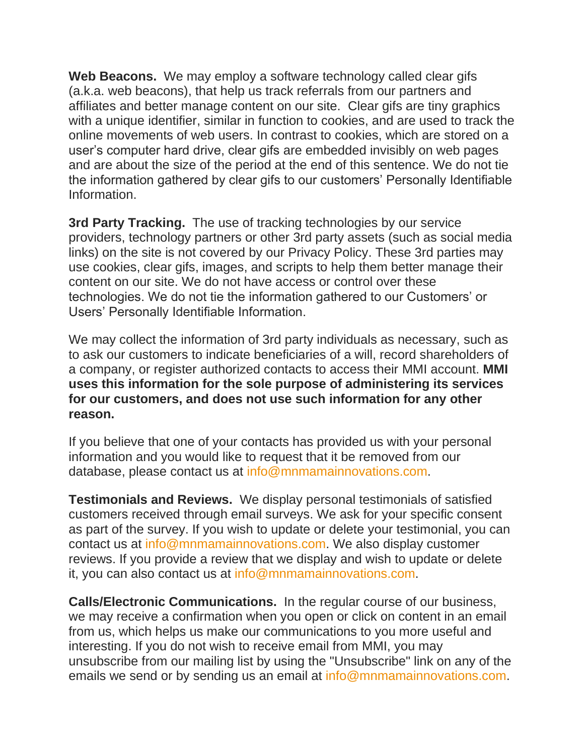**Web Beacons.** We may employ a software technology called clear gifs (a.k.a. web beacons), that help us track referrals from our partners and affiliates and better manage content on our site. Clear gifs are tiny graphics with a unique identifier, similar in function to cookies, and are used to track the online movements of web users. In contrast to cookies, which are stored on a user's computer hard drive, clear gifs are embedded invisibly on web pages and are about the size of the period at the end of this sentence. We do not tie the information gathered by clear gifs to our customers' Personally Identifiable Information.

**3rd Party Tracking.** The use of tracking technologies by our service providers, technology partners or other 3rd party assets (such as social media links) on the site is not covered by our Privacy Policy. These 3rd parties may use cookies, clear gifs, images, and scripts to help them better manage their content on our site. We do not have access or control over these technologies. We do not tie the information gathered to our Customers' or Users' Personally Identifiable Information.

We may collect the information of 3rd party individuals as necessary, such as to ask our customers to indicate beneficiaries of a will, record shareholders of a company, or register authorized contacts to access their MMI account. **MMI uses this information for the sole purpose of administering its services for our customers, and does not use such information for any other reason.**

If you believe that one of your contacts has provided us with your personal information and you would like to request that it be removed from our database, please contact us at [info@mnmamainnovations.com.](mailto:support@picanetwork.org)

**Testimonials and Reviews.** We display personal testimonials of satisfied customers received through email surveys. We ask for your specific consent as part of the survey. If you wish to update or delete your testimonial, you can contact us at [info@mnmamainnovations.com.](mailto:support@picanetwork.org) We also display customer reviews. If you provide a review that we display and wish to update or delete it, you can also contact us at [info@mnmamainnovations.com.](mailto:support@picanetwork.org)

**Calls/Electronic Communications.** In the regular course of our business, we may receive a confirmation when you open or click on content in an email from us, which helps us make our communications to you more useful and interesting. If you do not wish to receive email from MMI, you may unsubscribe from our mailing list by using the "Unsubscribe" link on any of the emails we send or by sending us an email at [info@mnmamainnovations.com.](mailto:support@picanetwork.org)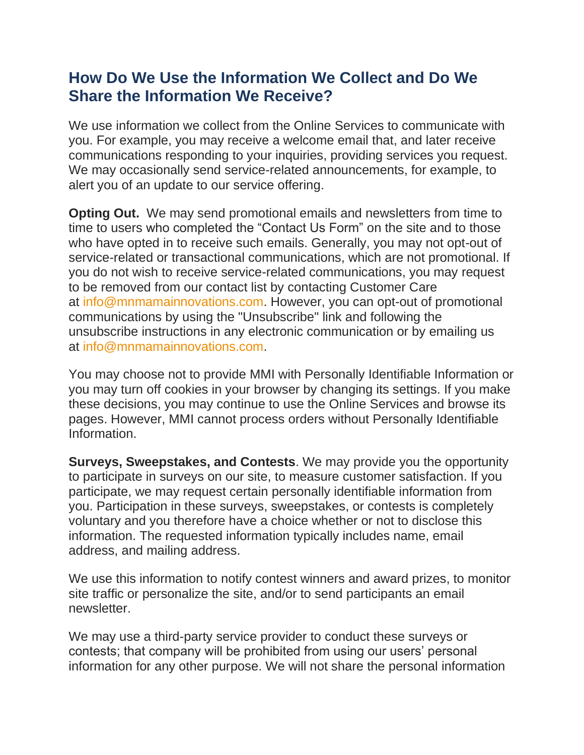### **How Do We Use the Information We Collect and Do We Share the Information We Receive?**

We use information we collect from the Online Services to communicate with you. For example, you may receive a welcome email that, and later receive communications responding to your inquiries, providing services you request. We may occasionally send service-related announcements, for example, to alert you of an update to our service offering.

**Opting Out.** We may send promotional emails and newsletters from time to time to users who completed the "Contact Us Form" on the site and to those who have opted in to receive such emails. Generally, you may not opt-out of service-related or transactional communications, which are not promotional. If you do not wish to receive service-related communications, you may request to be removed from our contact list by contacting Customer Care at [info@mnmamainnovations.com.](mailto:support@picanetwork.org) However, you can opt-out of promotional communications by using the "Unsubscribe" link and following the unsubscribe instructions in any electronic communication or by emailing us at [info@mnmamainnovations.com.](mailto:support@picanetwork.org)

You may choose not to provide MMI with Personally Identifiable Information or you may turn off cookies in your browser by changing its settings. If you make these decisions, you may continue to use the Online Services and browse its pages. However, MMI cannot process orders without Personally Identifiable Information.

**Surveys, Sweepstakes, and Contests**. We may provide you the opportunity to participate in surveys on our site, to measure customer satisfaction. If you participate, we may request certain personally identifiable information from you. Participation in these surveys, sweepstakes, or contests is completely voluntary and you therefore have a choice whether or not to disclose this information. The requested information typically includes name, email address, and mailing address.

We use this information to notify contest winners and award prizes, to monitor site traffic or personalize the site, and/or to send participants an email newsletter.

We may use a third-party service provider to conduct these surveys or contests; that company will be prohibited from using our users' personal information for any other purpose. We will not share the personal information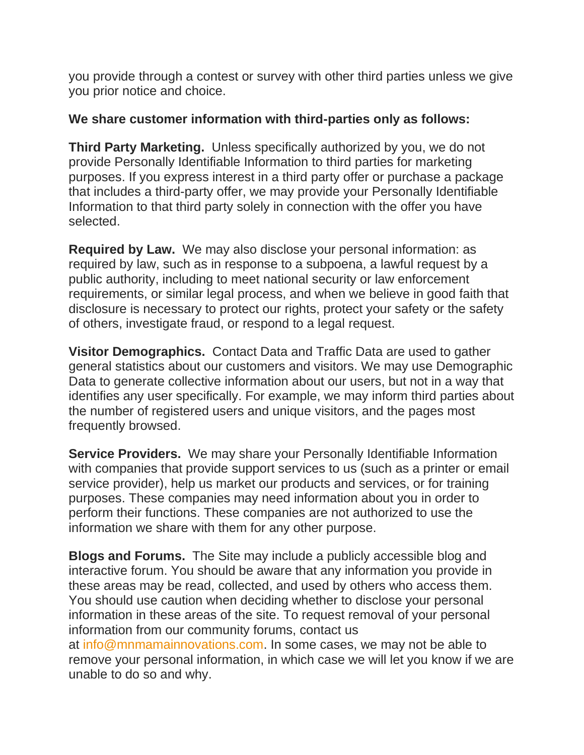you provide through a contest or survey with other third parties unless we give you prior notice and choice.

#### **We share customer information with third-parties only as follows:**

**Third Party Marketing.** Unless specifically authorized by you, we do not provide Personally Identifiable Information to third parties for marketing purposes. If you express interest in a third party offer or purchase a package that includes a third-party offer, we may provide your Personally Identifiable Information to that third party solely in connection with the offer you have selected.

**Required by Law.** We may also disclose your personal information: as required by law, such as in response to a subpoena, a lawful request by a public authority, including to meet national security or law enforcement requirements, or similar legal process, and when we believe in good faith that disclosure is necessary to protect our rights, protect your safety or the safety of others, investigate fraud, or respond to a legal request.

**Visitor Demographics.** Contact Data and Traffic Data are used to gather general statistics about our customers and visitors. We may use Demographic Data to generate collective information about our users, but not in a way that identifies any user specifically. For example, we may inform third parties about the number of registered users and unique visitors, and the pages most frequently browsed.

**Service Providers.** We may share your Personally Identifiable Information with companies that provide support services to us (such as a printer or email service provider), help us market our products and services, or for training purposes. These companies may need information about you in order to perform their functions. These companies are not authorized to use the information we share with them for any other purpose.

**Blogs and Forums.** The Site may include a publicly accessible blog and interactive forum. You should be aware that any information you provide in these areas may be read, collected, and used by others who access them. You should use caution when deciding whether to disclose your personal information in these areas of the site. To request removal of your personal information from our community forums, contact us at [info@mnmamainnovations.com.](mailto:support@picanetwork.org) In some cases, we may not be able to remove your personal information, in which case we will let you know if we are unable to do so and why.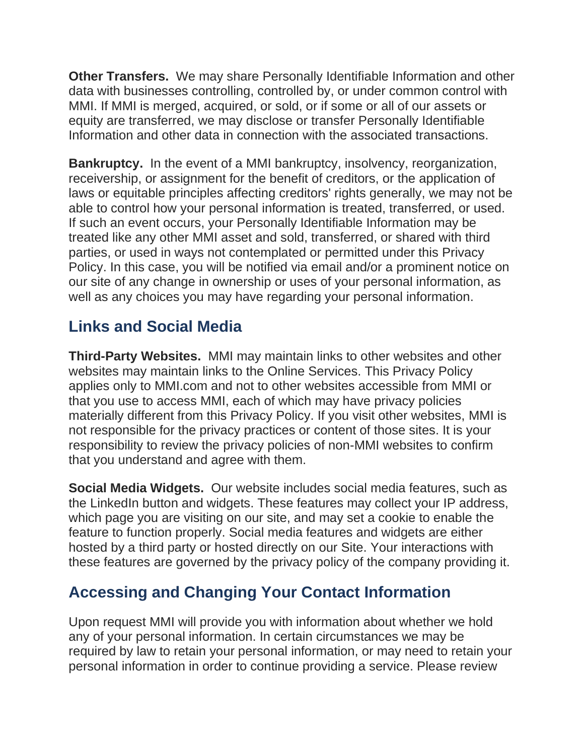**Other Transfers.** We may share Personally Identifiable Information and other data with businesses controlling, controlled by, or under common control with MMI. If MMI is merged, acquired, or sold, or if some or all of our assets or equity are transferred, we may disclose or transfer Personally Identifiable Information and other data in connection with the associated transactions.

**Bankruptcy.** In the event of a MMI bankruptcy, insolvency, reorganization, receivership, or assignment for the benefit of creditors, or the application of laws or equitable principles affecting creditors' rights generally, we may not be able to control how your personal information is treated, transferred, or used. If such an event occurs, your Personally Identifiable Information may be treated like any other MMI asset and sold, transferred, or shared with third parties, or used in ways not contemplated or permitted under this Privacy Policy. In this case, you will be notified via email and/or a prominent notice on our site of any change in ownership or uses of your personal information, as well as any choices you may have regarding your personal information.

## **Links and Social Media**

**Third-Party Websites.** MMI may maintain links to other websites and other websites may maintain links to the Online Services. This Privacy Policy applies only to MMI.com and not to other websites accessible from MMI or that you use to access MMI, each of which may have privacy policies materially different from this Privacy Policy. If you visit other websites, MMI is not responsible for the privacy practices or content of those sites. It is your responsibility to review the privacy policies of non-MMI websites to confirm that you understand and agree with them.

**Social Media Widgets.** Our website includes social media features, such as the LinkedIn button and widgets. These features may collect your IP address, which page you are visiting on our site, and may set a cookie to enable the feature to function properly. Social media features and widgets are either hosted by a third party or hosted directly on our Site. Your interactions with these features are governed by the privacy policy of the company providing it.

# **Accessing and Changing Your Contact Information**

Upon request MMI will provide you with information about whether we hold any of your personal information. In certain circumstances we may be required by law to retain your personal information, or may need to retain your personal information in order to continue providing a service. Please review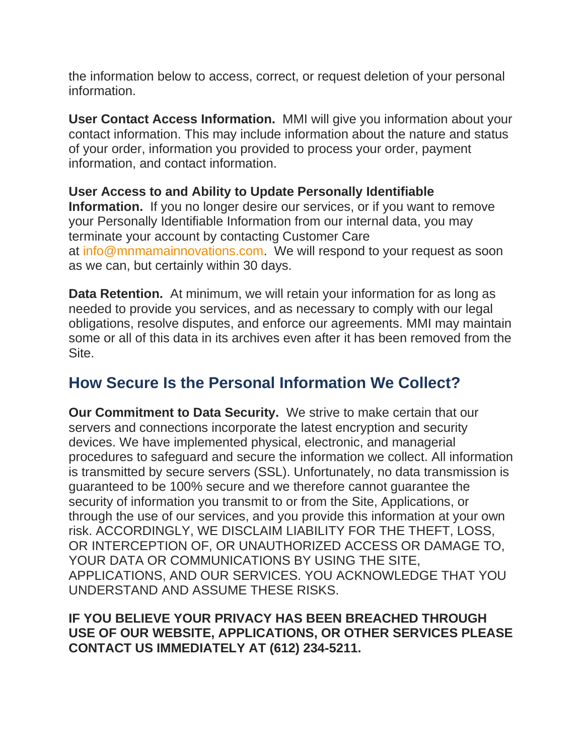the information below to access, correct, or request deletion of your personal information.

**User Contact Access Information.** MMI will give you information about your contact information. This may include information about the nature and status of your order, information you provided to process your order, payment information, and contact information.

**User Access to and Ability to Update Personally Identifiable Information.** If you no longer desire our services, or if you want to remove your Personally Identifiable Information from our internal data, you may terminate your account by contacting Customer Care at [info@mnmamainnovations.com.](mailto:support@picanetwork.org) We will respond to your request as soon as we can, but certainly within 30 days.

**Data Retention.** At minimum, we will retain your information for as long as needed to provide you services, and as necessary to comply with our legal obligations, resolve disputes, and enforce our agreements. MMI may maintain some or all of this data in its archives even after it has been removed from the Site.

### **How Secure Is the Personal Information We Collect?**

**Our Commitment to Data Security.** We strive to make certain that our servers and connections incorporate the latest encryption and security devices. We have implemented physical, electronic, and managerial procedures to safeguard and secure the information we collect. All information is transmitted by secure servers (SSL). Unfortunately, no data transmission is guaranteed to be 100% secure and we therefore cannot guarantee the security of information you transmit to or from the Site, Applications, or through the use of our services, and you provide this information at your own risk. ACCORDINGLY, WE DISCLAIM LIABILITY FOR THE THEFT, LOSS, OR INTERCEPTION OF, OR UNAUTHORIZED ACCESS OR DAMAGE TO, YOUR DATA OR COMMUNICATIONS BY USING THE SITE, APPLICATIONS, AND OUR SERVICES. YOU ACKNOWLEDGE THAT YOU UNDERSTAND AND ASSUME THESE RISKS.

#### **IF YOU BELIEVE YOUR PRIVACY HAS BEEN BREACHED THROUGH USE OF OUR WEBSITE, APPLICATIONS, OR OTHER SERVICES PLEASE CONTACT US IMMEDIATELY AT (612) 234-5211.**